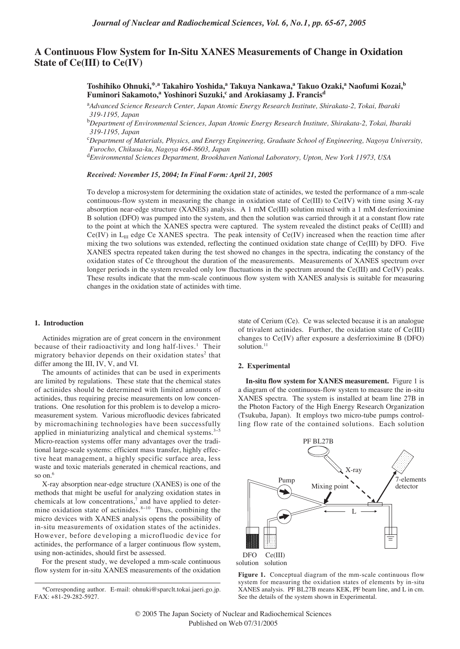# **A Continuous Flow System for In-Situ XANES Measurements of Change in Oxidation State of Ce(III) to Ce(IV)**

**Toshihiko Ohnuki,\*,a Takahiro Yoshida,a Takuya Nankawa,a Takuo Ozaki,a Naofumi Kozai,b Fuminori Sakamoto,<sup>a</sup> Yoshinori Suzuki,<sup>c</sup> and Arokiasamy J. Francis<sup>d</sup>** 

a *Advanced Science Research Center, Japan Atomic Energy Research Institute, Shirakata-2, Tokai, Ibaraki 319-1195, Japan*

b *Department of Environmental Sciences, Japan Atomic Energy Research Institute, Shirakata-2, Tokai, Ibaraki 319-1195, Japan*

c *Department of Materials, Physics, and Energy Engineering, Graduate School of Engineering, Nagoya University, Furocho, Chikusa-ku, Nagoya 464-8603, Japan* 

d *Environmental Sciences Department, Brookhaven National Laboratory, Upton, New York 11973, USA*

*Received: November 15, 2004; In Final Form: April 21, 2005*

To develop a microsystem for determining the oxidation state of actinides, we tested the performance of a mm-scale continuous-flow system in measuring the change in oxidation state of Ce(III) to Ce(IV) with time using X-ray absorption near-edge structure (XANES) analysis. A 1 mM Ce(III) solution mixed with a 1 mM desferrioximine B solution (DFO) was pumped into the system, and then the solution was carried through it at a constant flow rate to the point at which the XANES spectra were captured. The system revealed the distinct peaks of Ce(III) and  $Ce(IV)$  in  $L<sub>III</sub>$  edge Ce XANES spectra. The peak intensity of  $Ce(IV)$  increased when the reaction time after mixing the two solutions was extended, reflecting the continued oxidation state change of Ce(III) by DFO. Five XANES spectra repeated taken during the test showed no changes in the spectra, indicating the constancy of the oxidation states of Ce throughout the duration of the measurements. Measurements of XANES spectrum over longer periods in the system revealed only low fluctuations in the spectrum around the Ce(III) and Ce(IV) peaks. These results indicate that the mm-scale continuous flow system with XANES analysis is suitable for measuring changes in the oxidation state of actinides with time.

### **1. Introduction**

Actinides migration are of great concern in the environment because of their radioactivity and long half-lives.<sup>1</sup> Their migratory behavior depends on their oxidation states<sup>2</sup> that differ among the III, IV, V, and VI.

The amounts of actinides that can be used in experiments are limited by regulations. These state that the chemical states of actinides should be determined with limited amounts of actinides, thus requiring precise measurements on low concentrations. One resolution for this problem is to develop a micromeasurement system. Various microfluodic devices fabricated by micromachining technologies have been successfully applied in miniaturizing analytical and chemical systems. $3-5$ Micro-reaction systems offer many advantages over the traditional large-scale systems: efficient mass transfer, highly effective heat management, a highly specific surface area, less waste and toxic materials generated in chemical reactions, and so on.<sup>6</sup>

X-ray absorption near-edge structure (XANES) is one of the methods that might be useful for analyzing oxidation states in chemicals at low concentrations, $7$  and have applied to determine oxidation state of actinides.<sup>8-10</sup> Thus, combining the micro devices with XANES analysis opens the possibility of in-situ measurements of oxidation states of the actinides. However, before developing a microfluodic device for actinides, the performance of a larger continuous flow system, using non-actinides, should first be assessed.

For the present study, we developed a mm-scale continuous flow system for in-situ XANES measurements of the oxidation

state of Cerium (Ce). Ce was selected because it is an analogue of trivalent actinides. Further, the oxidation state of Ce(III) changes to Ce(IV) after exposure a desferrioximine B (DFO) solution.<sup>11</sup>

#### **2. Experimental**

**In-situ flow system for XANES measurement.** Figure 1 is a diagram of the continuous-flow system to measure the in-situ XANES spectra. The system is installed at beam line 27B in the Photon Factory of the High Energy Research Organization (Tsukuba, Japan). It employs two micro-tube pumps controlling flow rate of the contained solutions. Each solution



Figure 1. Conceptual diagram of the mm-scale continuous flow system for measuring the oxidation states of elements by in-situ XANES analysis. PF BL27B means KEK, PF beam line, and L in cm. See the details of the system shown in Experimental.

<sup>\*</sup>Corresponding author. E-mail: ohnuki@sparclt.tokai.jaeri.go.jp. FAX: +81-29-282-5927.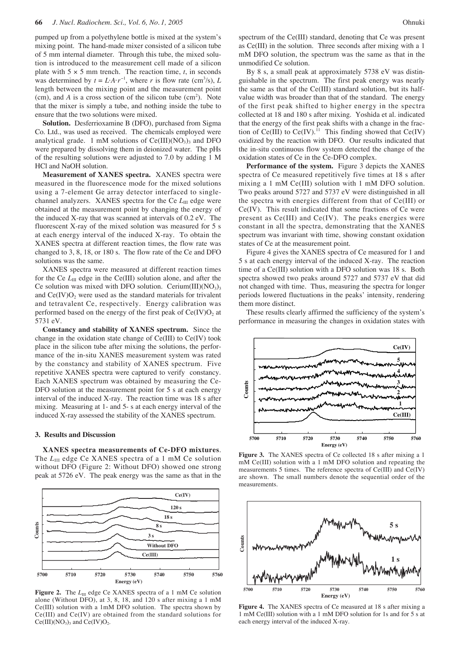pumped up from a polyethylene bottle is mixed at the system's mixing point. The hand-made mixer consisted of a silicon tube of 5 mm internal diameter. Through this tube, the mixed solution is introduced to the measurement cell made of a silicon plate with  $5 \times 5$  mm trench. The reaction time, *t*, in seconds was determined by  $t = L \cdot A \cdot r^{-1}$ , where *r* is flow rate (cm<sup>3</sup>/s), *L* length between the mixing point and the measurement point  $(cm)$ , and *A* is a cross section of the silicon tube  $(cm<sup>2</sup>)$ . Note that the mixer is simply a tube, and nothing inside the tube to ensure that the two solutions were mixed.

**Solution.** Desferrioxamine B (DFO), purchased from Sigma Co. Ltd., was used as received. The chemicals employed were analytical grade. 1 mM solutions of  $Ce(III)(NO<sub>3</sub>)<sub>3</sub>$  and DFO were prepared by dissolving them in deionized water. The pHs of the resulting solutions were adjusted to 7.0 by adding 1 M HCl and NaOH solution.

**Measurement of XANES spectra.** XANES spectra were measured in the fluorescence mode for the mixed solutions using a 7-element Ge array detector interfaced to singlechannel analyzers. XANES spectra for the Ce  $L_{\text{III}}$  edge were obtained at the measurement point by changing the energy of the induced X-ray that was scanned at intervals of 0.2 eV. The fluorescent X-ray of the mixed solution was measured for 5 s at each energy interval of the induced X-ray. To obtain the XANES spectra at different reaction times, the flow rate was changed to 3, 8, 18, or 180 s. The flow rate of the Ce and DFO solutions was the same.

XANES spectra were measured at different reaction times for the Ce  $L_{\text{III}}$  edge in the Ce(III) solution alone, and after the Ce solution was mixed with DFO solution. Cerium $(III)(NO<sub>3</sub>)<sub>3</sub>$ and  $Ce(IV)O<sub>2</sub>$  were used as the standard materials for trivalent and tetravalent Ce, respectively. Energy calibration was performed based on the energy of the first peak of  $Ce(IV)O<sub>2</sub>$  at 5731 eV.

**Constancy and stability of XANES spectrum.** Since the change in the oxidation state change of Ce(III) to Ce(IV) took place in the silicon tube after mixing the solutions, the performance of the in-situ XANES measurement system was rated by the constancy and stability of XANES spectrum. Five repetitive XANES spectra were captured to verify constancy. Each XANES spectrum was obtained by measuring the Ce-DFO solution at the measurement point for 5 s at each energy interval of the induced X-ray. The reaction time was 18 s after mixing. Measuring at 1- and 5- s at each energy interval of the induced X-ray assessed the stability of the XANES spectrum.

#### **3. Results and Discussion**

**XANES spectra measurements of Ce-DFO mixtures**. The *L*<sub>III</sub> edge Ce XANES spectra of a 1 mM Ce solution without DFO (Figure 2: Without DFO) showed one strong peak at 5726 eV. The peak energy was the same as that in the



Figure 2. The *L*<sub>III</sub> edge Ce XANES spectra of a 1 mM Ce solution alone (Without DFO), at 3, 8, 18, and 120 s after mixing a 1 mM Ce(III) solution with a 1mM DFO solution. The spectra shown by Ce(III) and Ce(IV) are obtained from the standard solutions for  $Ce(III)(NO<sub>3</sub>)<sub>3</sub>$  and  $Ce(IV)O<sub>2</sub>$ .

spectrum of the Ce(III) standard, denoting that Ce was present as Ce(III) in the solution. Three seconds after mixing with a 1 mM DFO solution, the spectrum was the same as that in the unmodified Ce solution.

By 8 s, a small peak at approximately 5738 eV was distinguishable in the spectrum. The first peak energy was nearly the same as that of the Ce(III) standard solution, but its halfvalue width was broader than that of the standard. The energy of the first peak shifted to higher energy in the spectra collected at 18 and 180 s after mixing. Yoshida et al. indicated that the energy of the first peak shifts with a change in the fraction of Ce(III) to  $Ce(IV)$ .<sup>11</sup> This finding showed that  $Ce(IV)$ oxidized by the reaction with DFO. Our results indicated that the in-situ continuous flow system detected the change of the oxidation states of Ce in the Ce-DFO complex.

**Performance of the system.** Figure 3 depicts the XANES spectra of Ce measured repetitively five times at 18 s after mixing a 1 mM Ce(III) solution with 1 mM DFO solution. Two peaks around 5727 and 5737 eV were distinguished in all the spectra with energies different from that of Ce(III) or Ce(IV). This result indicated that some fractions of Ce were present as Ce(III) and Ce(IV). The peaks energies were constant in all the spectra, demonstrating that the XANES spectrum was invariant with time, showing constant oxidation states of Ce at the measurement point.

Figure 4 gives the XANES spectra of Ce measured for 1 and 5 s at each energy interval of the induced X-ray. The reaction time of a Ce(III) solution with a DFO solution was 18 s. Both spectra showed two peaks around 5727 and 5737 eV that did not changed with time. Thus, measuring the spectra for longer periods lowered fluctuations in the peaks' intensity, rendering them more distinct.

These results clearly affirmed the sufficiency of the system's performance in measuring the changes in oxidation states with



**Figure 3.** The XANES spectra of Ce collected 18 s after mixing a 1 mM Ce(III) solution with a 1 mM DFO solution and repeating the measurements 5 times. The reference spectra of Ce(III) and Ce(IV) are shown. The small numbers denote the sequential order of the measurements.



**Figure 4.** The XANES spectra of Ce measured at 18 s after mixing a 1 mM Ce(III) solution with a 1 mM DFO solution for 1s and for 5 s at each energy interval of the induced X-ray.